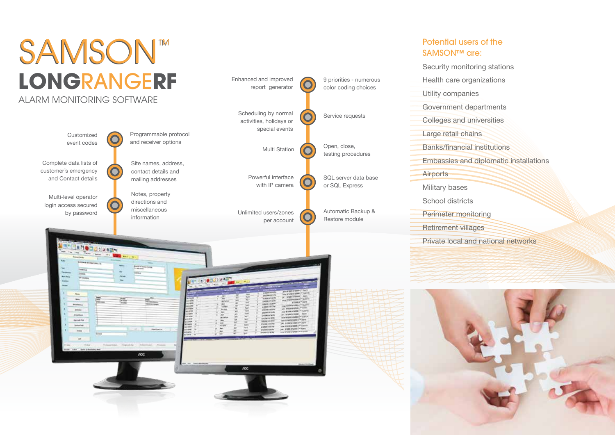